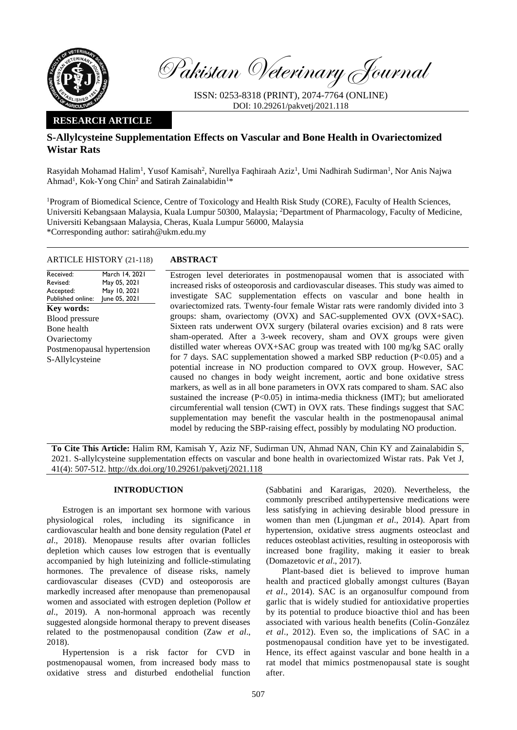

Pakistan Veterinary Journal

ISSN: 0253-8318 (PRINT), 2074-7764 (ONLINE) DOI: 10.29261/pakvetj/2021.118

## **RESEARCH ARTICLE**

# **S-Allylcysteine Supplementation Effects on Vascular and Bone Health in Ovariectomized Wistar Rats**

Rasyidah Mohamad Halim<sup>1</sup>, Yusof Kamisah<sup>2</sup>, Nurellya Faqhiraah Aziz<sup>1</sup>, Umi Nadhirah Sudirman<sup>1</sup>, Nor Anis Najwa Ahmad<sup>1</sup>, Kok-Yong Chin<sup>2</sup> and Satirah Zainalabidin<sup>1\*</sup>

<sup>1</sup>Program of Biomedical Science, Centre of Toxicology and Health Risk Study (CORE), Faculty of Health Sciences, Universiti Kebangsaan Malaysia, Kuala Lumpur 50300, Malaysia; <sup>2</sup>Department of Pharmacology, Faculty of Medicine, Universiti Kebangsaan Malaysia, Cheras, Kuala Lumpur 56000, Malaysia \*Corresponding author: satirah@ukm.edu.my

## ARTICLE HISTORY (21-118) **ABSTRACT**

Received: Revised: Accepted: Published online: March 14, 2021 May 05, 2021 May 10, 2021 June 05, 2021 **Key words:**  Blood pressure Bone health **Ovariectomy** Postmenopausal hypertension S-Allylcysteine

Estrogen level deteriorates in postmenopausal women that is associated with increased risks of osteoporosis and cardiovascular diseases. This study was aimed to investigate SAC supplementation effects on vascular and bone health in ovariectomized rats. Twenty-four female Wistar rats were randomly divided into 3 groups: sham, ovariectomy (OVX) and SAC-supplemented OVX (OVX+SAC). Sixteen rats underwent OVX surgery (bilateral ovaries excision) and 8 rats were sham-operated. After a 3-week recovery, sham and OVX groups were given distilled water whereas OVX+SAC group was treated with 100 mg/kg SAC orally for 7 days. SAC supplementation showed a marked SBP reduction ( $P<0.05$ ) and a potential increase in NO production compared to OVX group. However, SAC caused no changes in body weight increment, aortic and bone oxidative stress markers, as well as in all bone parameters in OVX rats compared to sham. SAC also sustained the increase (P<0.05) in intima-media thickness (IMT); but ameliorated circumferential wall tension (CWT) in OVX rats. These findings suggest that SAC supplementation may benefit the vascular health in the postmenopausal animal model by reducing the SBP-raising effect, possibly by modulating NO production.

**To Cite This Article:** Halim RM, Kamisah Y, Aziz NF, Sudirman UN, Ahmad NAN, Chin KY and Zainalabidin S, 2021. S-allylcysteine supplementation effects on vascular and bone health in ovariectomized Wistar rats. Pak Vet J, 41(4): 507-512[. http://dx.doi.org/10.29261/pakvetj/2021.118](http://pvj.com.pk/pdf-files/41_4/507-512.pdf)

## **INTRODUCTION**

Estrogen is an important sex hormone with various physiological roles, including its significance in cardiovascular health and bone density regulation (Patel *et al*., 2018). Menopause results after ovarian follicles depletion which causes low estrogen that is eventually accompanied by high luteinizing and follicle-stimulating hormones. The prevalence of disease risks, namely cardiovascular diseases (CVD) and osteoporosis are markedly increased after menopause than premenopausal women and associated with estrogen depletion (Pollow *et al*., 2019). A non-hormonal approach was recently suggested alongside hormonal therapy to prevent diseases related to the postmenopausal condition (Zaw *et al*., 2018).

Hypertension is a risk factor for CVD in postmenopausal women, from increased body mass to oxidative stress and disturbed endothelial function (Sabbatini and Kararigas, 2020). Nevertheless, the commonly prescribed antihypertensive medications were less satisfying in achieving desirable blood pressure in women than men (Ljungman *et al*., 2014). Apart from hypertension, oxidative stress augments osteoclast and reduces osteoblast activities, resulting in osteoporosis with increased bone fragility, making it easier to break (Domazetovic *et al*., 2017).

Plant-based diet is believed to improve human health and practiced globally amongst cultures (Bayan *et al*., 2014). SAC is an organosulfur compound from garlic that is widely studied for antioxidative properties by its potential to produce bioactive thiol and has been associated with various health benefits (Colín-González *et al*., 2012). Even so, the implications of SAC in a postmenopausal condition have yet to be investigated. Hence, its effect against vascular and bone health in a rat model that mimics postmenopausal state is sought after.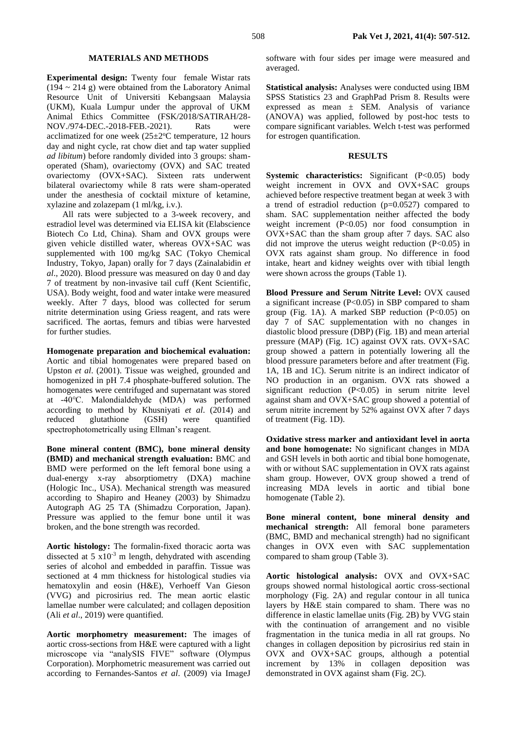### **MATERIALS AND METHODS**

**Experimental design:** Twenty four female Wistar rats  $(194 \sim 214 \text{ g})$  were obtained from the Laboratory Animal Resource Unit of Universiti Kebangsaan Malaysia (UKM), Kuala Lumpur under the approval of UKM Animal Ethics Committee (FSK/2018/SATIRAH/28- NOV./974-DEC.-2018-FEB.-2021). Rats were acclimatized for one week  $(25 \pm 2$ °C temperature, 12 hours day and night cycle, rat chow diet and tap water supplied *ad libitum*) before randomly divided into 3 groups: shamoperated (Sham), ovariectomy (OVX) and SAC treated ovariectomy (OVX+SAC). Sixteen rats underwent bilateral ovariectomy while 8 rats were sham-operated under the anesthesia of cocktail mixture of ketamine, xylazine and zolazepam (1 ml/kg, i.v.).

All rats were subjected to a 3-week recovery, and estradiol level was determined via ELISA kit (Elabscience Biotech Co Ltd, China). Sham and OVX groups were given vehicle distilled water, whereas OVX+SAC was supplemented with 100 mg/kg SAC (Tokyo Chemical Industry, Tokyo, Japan) orally for 7 days (Zainalabidin *et al*., 2020). Blood pressure was measured on day 0 and day 7 of treatment by non-invasive tail cuff (Kent Scientific, USA). Body weight, food and water intake were measured weekly. After 7 days, blood was collected for serum nitrite determination using Griess reagent, and rats were sacrificed. The aortas, femurs and tibias were harvested for further studies.

**Homogenate preparation and biochemical evaluation:**  Aortic and tibial homogenates were prepared based on Upston *et al*. (2001). Tissue was weighed, grounded and homogenized in pH 7.4 phosphate-buffered solution. The homogenates were centrifuged and supernatant was stored at -40℃. Malondialdehyde (MDA) was performed according to method by Khusniyati *et al*. (2014) and reduced glutathione (GSH) were quantified spectrophotometrically using Ellman's reagent.

**Bone mineral content (BMC), bone mineral density (BMD) and mechanical strength evaluation:** BMC and BMD were performed on the left femoral bone using a dual-energy x-ray absorptiometry (DXA) machine (Hologic Inc., USA). Mechanical strength was measured according to Shapiro and Heaney (2003) by Shimadzu Autograph AG 25 TA (Shimadzu Corporation, Japan). Pressure was applied to the femur bone until it was broken, and the bone strength was recorded.

**Aortic histology:** The formalin-fixed thoracic aorta was dissected at 5  $x10^{-3}$  m length, dehydrated with ascending series of alcohol and embedded in paraffin. Tissue was sectioned at 4 mm thickness for histological studies via hematoxylin and eosin (H&E), Verhoeff Van Gieson (VVG) and picrosirius red. The mean aortic elastic lamellae number were calculated; and collagen deposition (Ali *et al*., 2019) were quantified.

**Aortic morphometry measurement:** The images of aortic cross-sections from H&E were captured with a light microscope via "analySIS FIVE" software (Olympus Corporation). Morphometric measurement was carried out according to Fernandes-Santos *et al*. (2009) via ImageJ software with four sides per image were measured and averaged.

**Statistical analysis:** Analyses were conducted using IBM SPSS Statistics 23 and GraphPad Prism 8. Results were expressed as mean ± SEM. Analysis of variance (ANOVA) was applied, followed by post-hoc tests to compare significant variables. Welch t-test was performed for estrogen quantification.

## **RESULTS**

**Systemic characteristics:** Significant (P<0.05) body weight increment in OVX and OVX+SAC groups achieved before respective treatment began at week 3 with a trend of estradiol reduction  $(p=0.0527)$  compared to sham. SAC supplementation neither affected the body weight increment (P<0.05) nor food consumption in OVX+SAC than the sham group after 7 days. SAC also did not improve the uterus weight reduction  $(P<0.05)$  in OVX rats against sham group. No difference in food intake, heart and kidney weights over with tibial length were shown across the groups (Table 1).

**Blood Pressure and Serum Nitrite Level:** OVX caused a significant increase (P<0.05) in SBP compared to sham group (Fig. 1A). A marked SBP reduction  $(P<0.05)$  on day 7 of SAC supplementation with no changes in diastolic blood pressure (DBP) (Fig. 1B) and mean arterial pressure (MAP) (Fig. 1C) against OVX rats. OVX+SAC group showed a pattern in potentially lowering all the blood pressure parameters before and after treatment (Fig. 1A, 1B and 1C). Serum nitrite is an indirect indicator of NO production in an organism. OVX rats showed a significant reduction (P<0.05) in serum nitrite level against sham and OVX+SAC group showed a potential of serum nitrite increment by 52% against OVX after 7 days of treatment (Fig. 1D).

**Oxidative stress marker and antioxidant level in aorta and bone homogenate:** No significant changes in MDA and GSH levels in both aortic and tibial bone homogenate, with or without SAC supplementation in OVX rats against sham group. However, OVX group showed a trend of increasing MDA levels in aortic and tibial bone homogenate (Table 2).

**Bone mineral content, bone mineral density and mechanical strength:** All femoral bone parameters (BMC, BMD and mechanical strength) had no significant changes in OVX even with SAC supplementation compared to sham group (Table 3).

**Aortic histological analysis:** OVX and OVX+SAC groups showed normal histological aortic cross-sectional morphology (Fig. 2A) and regular contour in all tunica layers by H&E stain compared to sham. There was no difference in elastic lamellae units (Fig. 2B) by VVG stain with the continuation of arrangement and no visible fragmentation in the tunica media in all rat groups. No changes in collagen deposition by picrosirius red stain in OVX and OVX+SAC groups, although a potential increment by 13% in collagen deposition was demonstrated in OVX against sham (Fig. 2C).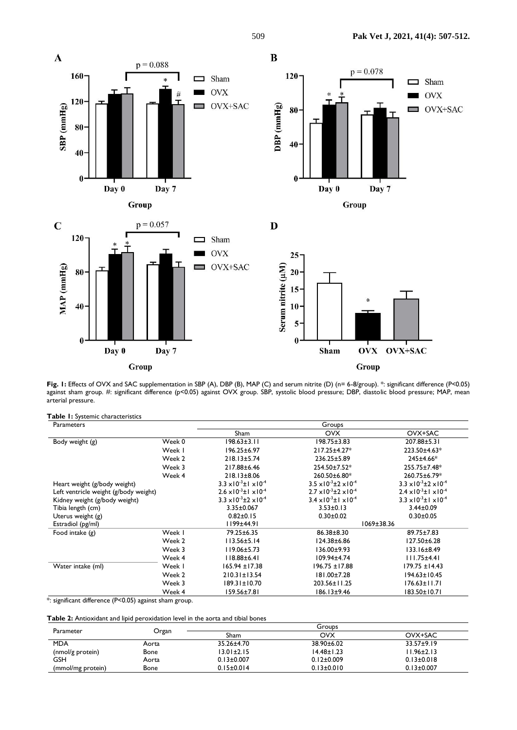

Fig. 1: Effects of OVX and SAC supplementation in SBP (A), DBP (B), MAP (C) and serum nitrite (D) (n= 6-8/group). \*: significant difference (P<0.05) against sham group. #: significant difference (p<0.05) against OVX group. SBP, systolic blood pressure; DBP, diastolic blood pressure; MAP, mean arterial pressure.

**Table 1:** Systemic characteristics

| Parameters                            |        |                                           | Groups                                    |                                           |
|---------------------------------------|--------|-------------------------------------------|-------------------------------------------|-------------------------------------------|
|                                       |        | Sham                                      | <b>OVX</b>                                | OVX+SAC                                   |
| Body weight (g)                       | Week 0 | 198.63±3.11                               | $198.75 \pm 3.83$                         | 207.88±5.31                               |
|                                       | Week I | 196.25±6.97                               | 217.25±4.27*                              | 223.50±4.63*                              |
|                                       | Week 2 | $218.13 \pm 5.74$                         | 236.25±5.89                               | 245±4.66*                                 |
|                                       | Week 3 | 217.88±6.46                               | 254.50±7.52*                              | 255.75±7.48*                              |
|                                       | Week 4 | $218.13 \pm 8.06$                         | 260.50±6.80*                              | 260.75±6.79*                              |
| Heart weight (g/body weight)          |        | $3.3 \times 10^{-3}$ ± $1 \times 10^{-4}$ | $3.5 \times 10^{-3} \pm 2 \times 10^{-4}$ | $3.3 \times 10^{-3} \pm 2 \times 10^{-4}$ |
| Left ventricle weight (g/body weight) |        | $2.6 \times 10^{-3}$ ± $1 \times 10^{-4}$ | $2.7 \times 10^{-3} \pm 2 \times 10^{-4}$ | $2.4 \times 10^{-3}$ ± $1 \times 10^{-4}$ |
| Kidney weight (g/body weight)         |        | $3.3 \times 10^{-3} \pm 2 \times 10^{-4}$ | $3.4 \times 10^{-3}$ ± $1 \times 10^{-4}$ | $3.3 \times 10^{-3}$ ± $1 \times 10^{-4}$ |
| Tibia length (cm)                     |        | 3.35±0.067                                | $3.53 \pm 0.13$                           | $3.44 \pm 0.09$                           |
| Uterus weight (g)                     |        | $0.82 \pm 0.15$                           | $0.30 \pm 0.02$                           | $0.30 \pm 0.05$                           |
| Estradiol (pg/ml)                     |        | 1199±44.91                                | 1069±38.36                                |                                           |
| Food intake $(g)$                     | Week I | 79.25±6.35                                | 86.38±8.30                                | 89.75±7.83                                |
|                                       | Week 2 | $113.56 \pm 5.14$                         | 124.38±6.86                               | $127.50 \pm 6.28$                         |
|                                       | Week 3 | $119.06 \pm 5.73$                         | $136.00 \pm 9.93$                         | $133.16 \pm 8.49$                         |
|                                       | Week 4 | $118.88 \pm 6.41$                         | 109.94±4.74                               | $111.75 \pm 4.41$                         |
| Water intake (ml)                     | Week I | $165.94 \pm 17.38$                        | 196.75 ±17.88                             | $179.75 \pm 14.43$                        |
|                                       | Week 2 | $210.31 \pm 13.54$                        | 181.00±7.28                               | 194.63±10.45                              |
|                                       | Week 3 | $189.31 \pm 10.70$                        | 203.56±11.25                              | $176.63 \pm 11.71$                        |
|                                       | Week 4 | 159.56±7.81                               | 186.13±9.46                               | 183.50±10.71                              |

\*: significant difference (P<0.05) against sham group.

**Table 2:** Antioxidant and lipid peroxidation level in the aorta and tibial bones

| Parameter         | Organ       | Groups           |                  |                  |  |
|-------------------|-------------|------------------|------------------|------------------|--|
|                   |             | Sham             | OVX              | OVX+SAC          |  |
| <b>MDA</b>        | Aorta       | 35.26±4.70       | 38.90±6.02       | $33.57 + 9.19$   |  |
| (nmol/g protein)  | <b>Bone</b> | $13.01 \pm 2.15$ | $14.48 \pm 1.23$ | $1.96 \pm 2.13$  |  |
| GSH               | Aorta       | $0.13 \pm 0.007$ | $0.12 \pm 0.009$ | $0.13 \pm 0.018$ |  |
| (mmol/mg protein) | <b>Bone</b> | $0.15 \pm 0.014$ | $0.13 \pm 0.010$ | $0.13 \pm 0.007$ |  |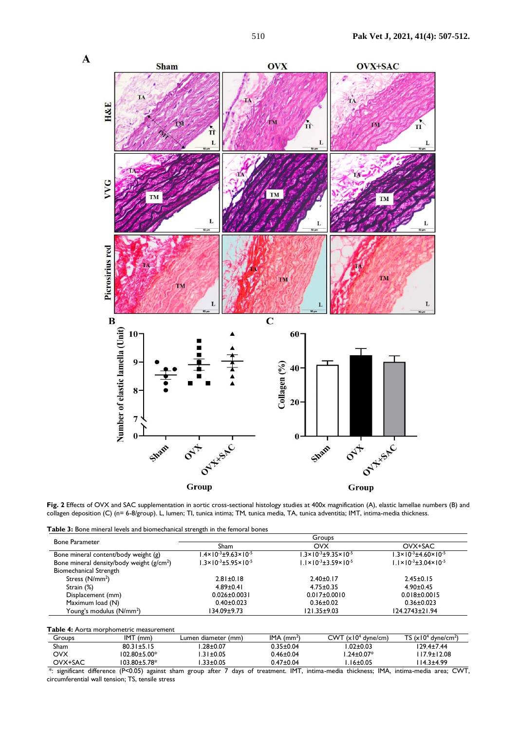

**Fig. 2** Effects of OVX and SAC supplementation in aortic cross-sectional histology studies at 400x magnification (A), elastic lamellae numbers (B) and collagen deposition (C) (n= 6-8/group). L, lumen; TI, tunica intima; TM, tunica media, TA, tunica adventitia; IMT, intima-media thickness.

**Table 3:** Bone mineral levels and biomechanical strength in the femoral bones

|                                            | Groups                                       |                    |                                                                                                                                                                                                                                               |  |
|--------------------------------------------|----------------------------------------------|--------------------|-----------------------------------------------------------------------------------------------------------------------------------------------------------------------------------------------------------------------------------------------|--|
| <b>Bone Parameter</b>                      | Sham                                         | <b>OVX</b>         | OVX+SAC<br>$1.3 \times 10^{-3} \pm 4.60 \times 10^{-5}$<br>$1.3 \times 10^{-3} \pm 9.35 \times 10^{-5}$<br>$1.1 \times 10^{-3} \pm 3.59 \times 10^{-5}$<br>$1.1 \times 10^{-3} \pm 3.04 \times 10^{-5}$<br>$2.45 \pm 0.15$<br>$2.40 \pm 0.17$ |  |
| Bone mineral content/body weight (g)       | $1.4 \times 10^{-3} \pm 9.63 \times 10^{-5}$ |                    |                                                                                                                                                                                                                                               |  |
| Bone mineral density/body weight $(g/cm2)$ | $1.3 \times 10^{-3} \pm 5.95 \times 10^{-5}$ |                    |                                                                                                                                                                                                                                               |  |
| <b>Biomechanical Strength</b>              |                                              |                    |                                                                                                                                                                                                                                               |  |
| Stress $(N/mm2)$                           | $2.81 \pm 0.18$                              |                    |                                                                                                                                                                                                                                               |  |
| Strain (%)                                 | $4.89 \pm 0.41$                              | $4.75 \pm 0.35$    | $4.90 \pm 0.45$                                                                                                                                                                                                                               |  |
| Displacement (mm)                          | $0.026 \pm 0.003$                            | $0.017 \pm 0.0010$ | $0.018 \pm 0.0015$                                                                                                                                                                                                                            |  |
| Maximum load (N)                           | $0.40 \pm 0.023$                             | $0.36 \pm 0.02$    | $0.36 \pm 0.023$                                                                                                                                                                                                                              |  |
| Young's modulus (N/mm <sup>2</sup> )       | 34.09±9.73                                   | $121.35 \pm 9.03$  | 124.2743±21.94                                                                                                                                                                                                                                |  |

| Table 4: Aorta morphometric measurement |                     |                     |                          |                                |                                   |  |  |
|-----------------------------------------|---------------------|---------------------|--------------------------|--------------------------------|-----------------------------------|--|--|
| Groups                                  | IMT<br>(mm)         | Lumen diameter (mm) | $IMA$ (mm <sup>2</sup> ) | CWT (x10 <sup>4</sup> dyne/cm) | TS $(x104$ dyne/cm <sup>2</sup> ) |  |  |
| Sham                                    | $80.31 \pm 5.15$    | $.28 \pm 0.07$      | $0.35 \pm 0.04$          | l.02±0.03                      | 129.4±7.44                        |  |  |
| OVX                                     | $102.80 \pm 5.00*$  | $1.31 \pm 0.05$     | $0.46 \pm 0.04$          | $.24 \pm 0.07*$                | 117.9±12.08                       |  |  |
| OVX+SAC                                 | $103.80 \pm 5.78^*$ | $.33 \pm 0.05$      | $0.47 \pm 0.04$          | $.16 \pm 0.05$                 | $14.3 + 4.99$                     |  |  |

\*: significant difference (P<0.05) against sham group after 7 days of treatment. IMT, intima-media thickness; IMA, intima-media area; CWT, circumferential wall tension; TS, tensile stress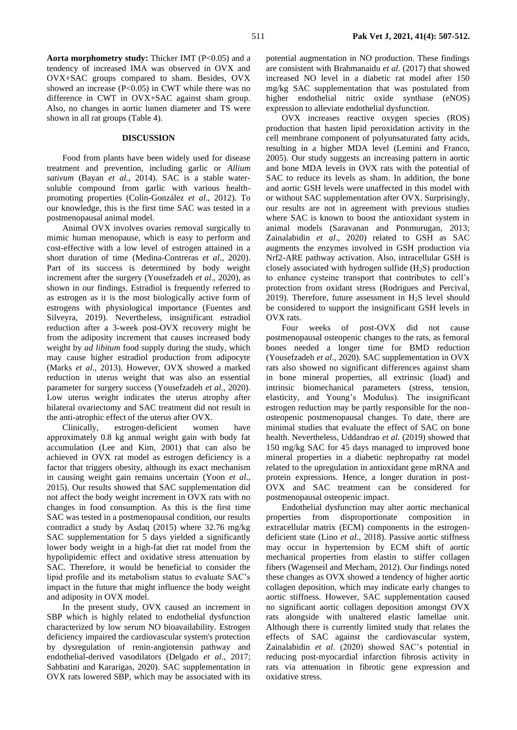**Aorta morphometry study:** Thicker IMT (P<0.05) and a tendency of increased IMA was observed in OVX and OVX+SAC groups compared to sham. Besides, OVX showed an increase (P<0.05) in CWT while there was no difference in CWT in OVX+SAC against sham group. Also, no changes in aortic lumen diameter and TS were shown in all rat groups (Table 4).

## **DISCUSSION**

Food from plants have been widely used for disease treatment and prevention, including garlic or *Allium sativum* (Bayan *et al*., 2014). SAC is a stable watersoluble compound from garlic with various healthpromoting properties (Colín-González *et al*., 2012). To our knowledge, this is the first time SAC was tested in a postmenopausal animal model.

Animal OVX involves ovaries removal surgically to mimic human menopause, which is easy to perform and cost-effective with a low level of estrogen attained in a short duration of time (Medina-Contreras *et al*., 2020). Part of its success is determined by body weight increment after the surgery (Yousefzadeh *et al*., 2020), as shown in our findings. Estradiol is frequently referred to as estrogen as it is the most biologically active form of estrogens with physiological importance (Fuentes and Silveyra, 2019). Nevertheless, insignificant estradiol reduction after a 3-week post-OVX recovery might be from the adiposity increment that causes increased body weight by *ad libitum* food supply during the study, which may cause higher estradiol production from adipocyte (Marks *et al*., 2013). However, OVX showed a marked reduction in uterus weight that was also an essential parameter for surgery success (Yousefzadeh *et al*., 2020). Low uterus weight indicates the uterus atrophy after bilateral ovariectomy and SAC treatment did not result in the anti-atrophic effect of the uterus after OVX.

Clinically, estrogen-deficient women have approximately 0.8 kg annual weight gain with body fat accumulation (Lee and Kim, 2001) that can also be achieved in OVX rat model as estrogen deficiency is a factor that triggers obesity, although its exact mechanism in causing weight gain remains uncertain (Yoon *et al*., 2015). Our results showed that SAC supplementation did not affect the body weight increment in OVX rats with no changes in food consumption. As this is the first time SAC was tested in a postmenopausal condition, our results contradict a study by Asdaq (2015) where 32.76 mg/kg SAC supplementation for 5 days yielded a significantly lower body weight in a high-fat diet rat model from the hypolipidemic effect and oxidative stress attenuation by SAC. Therefore, it would be beneficial to consider the lipid profile and its metabolism status to evaluate SAC's impact in the future that might influence the body weight and adiposity in OVX model.

In the present study, OVX caused an increment in SBP which is highly related to endothelial dysfunction characterized by low serum NO bioavailability. Estrogen deficiency impaired the cardiovascular system's protection by dysregulation of renin-angiotensin pathway and endothelial-derived vasodilators (Delgado *et al*., 2017; Sabbatini and Kararigas, 2020). SAC supplementation in OVX rats lowered SBP, which may be associated with its potential augmentation in NO production. These findings are consistent with Brahmanaidu *et al*. (2017) that showed increased NO level in a diabetic rat model after 150 mg/kg SAC supplementation that was postulated from higher endothelial nitric oxide synthase (eNOS) expression to alleviate endothelial dysfunction.

OVX increases reactive oxygen species (ROS) production that hasten lipid peroxidation activity in the cell membrane component of polyunsaturated fatty acids, resulting in a higher MDA level (Lemini and Franco, 2005). Our study suggests an increasing pattern in aortic and bone MDA levels in OVX rats with the potential of SAC to reduce its levels as sham. In addition, the bone and aortic GSH levels were unaffected in this model with or without SAC supplementation after OVX. Surprisingly, our results are not in agreement with previous studies where SAC is known to boost the antioxidant system in animal models (Saravanan and Ponmurugan, 2013; Zainalabidin *et al*., 2020) related to GSH as SAC augments the enzymes involved in GSH production via Nrf2-ARE pathway activation. Also, intracellular GSH is closely associated with hydrogen sulfide  $(H<sub>2</sub>S)$  production to enhance cysteine transport that contributes to cell's protection from oxidant stress (Rodrigues and Percival, 2019). Therefore, future assessment in  $H<sub>2</sub>S$  level should be considered to support the insignificant GSH levels in OVX rats.

Four weeks of post-OVX did not cause postmenopausal osteopenic changes to the rats, as femoral bones needed a longer time for BMD reduction (Yousefzadeh *et al*., 2020). SAC supplementation in OVX rats also showed no significant differences against sham in bone mineral properties, all extrinsic (load) and intrinsic biomechanical parameters (stress, tension, elasticity, and Young's Modulus). The insignificant estrogen reduction may be partly responsible for the nonosteopenic postmenopausal changes. To date, there are minimal studies that evaluate the effect of SAC on bone health. Nevertheless, Uddandrao *et al.* (2019) showed that 150 mg/kg SAC for 45 days managed to improved bone mineral properties in a diabetic nephropathy rat model related to the upregulation in antioxidant gene mRNA and protein expressions. Hence, a longer duration in post-OVX and SAC treatment can be considered for postmenopausal osteopenic impact.

Endothelial dysfunction may alter aortic mechanical properties from disproportionate composition in extracellular matrix (ECM) components in the estrogendeficient state (Lino *et al*., 2018). Passive aortic stiffness may occur in hypertension by ECM shift of aortic mechanical properties from elastin to stiffer collagen fibers (Wagenseil and Mecham, 2012). Our findings noted these changes as OVX showed a tendency of higher aortic collagen deposition, which may indicate early changes to aortic stiffness. However, SAC supplementation caused no significant aortic collagen deposition amongst OVX rats alongside with unaltered elastic lamellae unit. Although there is currently limited study that relates the effects of SAC against the cardiovascular system, Zainalabidin *et al*. (2020) showed SAC's potential in reducing post-myocardial infarction fibrosis activity in rats via attenuation in fibrotic gene expression and oxidative stress.